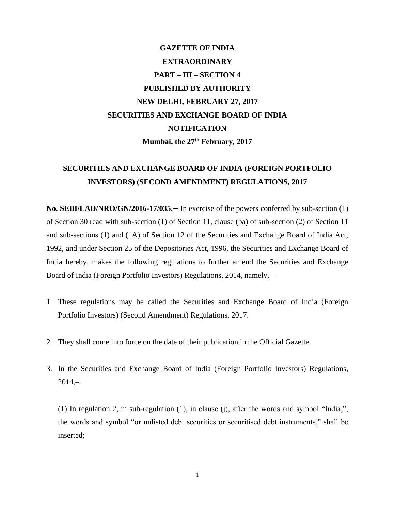## **GAZETTE OF INDIA EXTRAORDINARY PART – III – SECTION 4 PUBLISHED BY AUTHORITY NEW DELHI, FEBRUARY 27, 2017 SECURITIES AND EXCHANGE BOARD OF INDIA NOTIFICATION Mumbai, the 27th February, 2017**

## **SECURITIES AND EXCHANGE BOARD OF INDIA (FOREIGN PORTFOLIO INVESTORS) (SECOND AMENDMENT) REGULATIONS, 2017**

**No. SEBI/LAD/NRO/GN/2016-17/035.**─ In exercise of the powers conferred by sub-section (1) of Section 30 read with sub-section (1) of Section 11, clause (ba) of sub-section (2) of Section 11 and sub-sections (1) and (1A) of Section 12 of the Securities and Exchange Board of India Act, 1992, and under Section 25 of the Depositories Act, 1996, the Securities and Exchange Board of India hereby, makes the following regulations to further amend the Securities and Exchange Board of India (Foreign Portfolio Investors) Regulations, 2014, namely,—

- 1. These regulations may be called the Securities and Exchange Board of India (Foreign Portfolio Investors) (Second Amendment) Regulations, 2017.
- 2. They shall come into force on the date of their publication in the Official Gazette.
- 3. In the Securities and Exchange Board of India (Foreign Portfolio Investors) Regulations,  $2014, -$

(1) In regulation 2, in sub-regulation (1), in clause (j), after the words and symbol "India,", the words and symbol "or unlisted debt securities or securitised debt instruments," shall be inserted;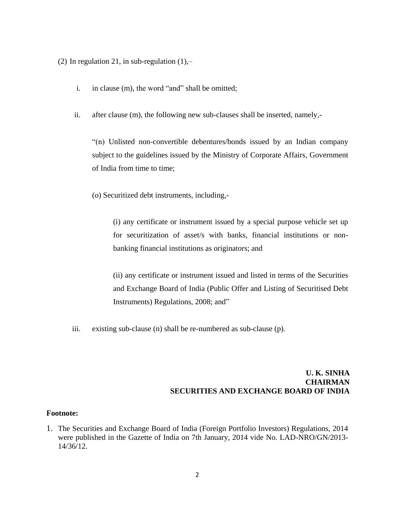(2) In regulation 21, in sub-regulation  $(1)$ ,-

- i. in clause (m), the word "and" shall be omitted;
- ii. after clause (m), the following new sub-clauses shall be inserted, namely,-

"(n) Unlisted non-convertible debentures/bonds issued by an Indian company subject to the guidelines issued by the Ministry of Corporate Affairs, Government of India from time to time;

(o) Securitized debt instruments, including,-

(i) any certificate or instrument issued by a special purpose vehicle set up for securitization of asset/s with banks, financial institutions or nonbanking financial institutions as originators; and

(ii) any certificate or instrument issued and listed in terms of the Securities and Exchange Board of India (Public Offer and Listing of Securitised Debt Instruments) Regulations, 2008; and"

iii. existing sub-clause (n) shall be re-numbered as sub-clause (p).

## **U. K. SINHA CHAIRMAN SECURITIES AND EXCHANGE BOARD OF INDIA**

## **Footnote:**

1. The Securities and Exchange Board of India (Foreign Portfolio Investors) Regulations, 2014 were published in the Gazette of India on 7th January, 2014 vide No. LAD-NRO/GN/2013- 14/36/12.